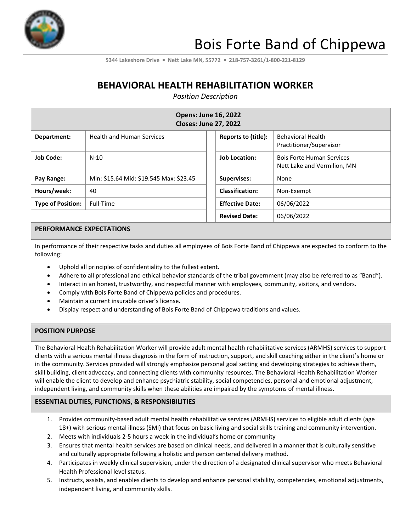

**5344 Lakeshore Drive** ▪ **Nett Lake MN, 55772** ▪ **218-757-3261/1-800-221-8129**

# **BEHAVIORAL HEALTH REHABILITATION WORKER**

*Position Description*

| <b>Opens: June 16, 2022</b><br><b>Closes: June 27, 2022</b> |                                         |                        |                                                                 |  |
|-------------------------------------------------------------|-----------------------------------------|------------------------|-----------------------------------------------------------------|--|
| Department:                                                 | <b>Health and Human Services</b>        | Reports to (title):    | <b>Behavioral Health</b><br>Practitioner/Supervisor             |  |
| <b>Job Code:</b>                                            | $N-10$                                  | <b>Job Location:</b>   | <b>Bois Forte Human Services</b><br>Nett Lake and Vermilion, MN |  |
| Pay Range:                                                  | Min: \$15.64 Mid: \$19.545 Max: \$23.45 | <b>Supervises:</b>     | None                                                            |  |
| Hours/week:                                                 | 40                                      | <b>Classification:</b> | Non-Exempt                                                      |  |
| <b>Type of Position:</b>                                    | Full-Time                               | <b>Effective Date:</b> | 06/06/2022                                                      |  |
|                                                             |                                         | <b>Revised Date:</b>   | 06/06/2022                                                      |  |

#### **PERFORMANCE EXPECTATIONS**

In performance of their respective tasks and duties all employees of Bois Forte Band of Chippewa are expected to conform to the following:

- Uphold all principles of confidentiality to the fullest extent.
- Adhere to all professional and ethical behavior standards of the tribal government (may also be referred to as "Band").
- Interact in an honest, trustworthy, and respectful manner with employees, community, visitors, and vendors.
- Comply with Bois Forte Band of Chippewa policies and procedures.
- Maintain a current insurable driver's license.
- Display respect and understanding of Bois Forte Band of Chippewa traditions and values.

### **POSITION PURPOSE**

The Behavioral Health Rehabilitation Worker will provide adult mental health rehabilitative services (ARMHS) services to support clients with a serious mental illness diagnosis in the form of instruction, support, and skill coaching either in the client's home or in the community. Services provided will strongly emphasize personal goal setting and developing strategies to achieve them, skill building, client advocacy, and connecting clients with community resources. The Behavioral Health Rehabilitation Worker will enable the client to develop and enhance psychiatric stability, social competencies, personal and emotional adjustment, independent living, and community skills when these abilities are impaired by the symptoms of mental illness.

### **ESSENTIAL DUTIES, FUNCTIONS, & RESPONSIBILITIES**

- 1. Provides community-based adult mental health rehabilitative services (ARMHS) services to eligible adult clients (age 18+) with serious mental illness (SMI) that focus on basic living and social skills training and community intervention.
- 2. Meets with individuals 2-5 hours a week in the individual's home or community
- 3. Ensures that mental health services are based on clinical needs, and delivered in a manner that is culturally sensitive and culturally appropriate following a holistic and person centered delivery method.
- 4. Participates in weekly clinical supervision, under the direction of a designated clinical supervisor who meets Behavioral Health Professional level status.
- 5. Instructs, assists, and enables clients to develop and enhance personal stability, competencies, emotional adjustments, independent living, and community skills.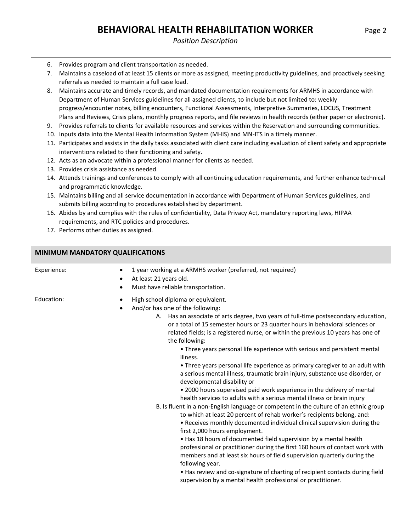### *Position Description*

- 6. Provides program and client transportation as needed.
- 7. Maintains a caseload of at least 15 clients or more as assigned, meeting productivity guidelines, and proactively seeking referrals as needed to maintain a full case load.
- 8. Maintains accurate and timely records, and mandated documentation requirements for ARMHS in accordance with Department of Human Services guidelines for all assigned clients, to include but not limited to: weekly progress/encounter notes, billing encounters, Functional Assessments, Interpretive Summaries, LOCUS, Treatment Plans and Reviews, Crisis plans, monthly progress reports, and file reviews in health records (either paper or electronic).
- 9. Provides referrals to clients for available resources and services within the Reservation and surrounding communities.
- 10. Inputs data into the Mental Health Information System (MHIS) and MN-ITS in a timely manner.
- 11. Participates and assists in the daily tasks associated with client care including evaluation of client safety and appropriate interventions related to their functioning and safety.
- 12. Acts as an advocate within a professional manner for clients as needed.
- 13. Provides crisis assistance as needed.
- 14. Attends trainings and conferences to comply with all continuing education requirements, and further enhance technical and programmatic knowledge.
- 15. Maintains billing and all service documentation in accordance with Department of Human Services guidelines, and submits billing according to procedures established by department.
- 16. Abides by and complies with the rules of confidentiality, Data Privacy Act, mandatory reporting laws, HIPAA requirements, and RTC policies and procedures.
- 17. Performs other duties as assigned.

## **MINIMUM MANDATORY QUALIFICATIONS**

| Experience: | 1 year working at a ARMHS worker (preferred, not required)<br>At least 21 years old.<br>$\bullet$<br>Must have reliable transportation.<br>$\bullet$                                                                                                                                                                                                                                                                                                                                                                                                                                                                                                                                                                                                                                                                                                                                                                                                                                                                                                                                                                                                                                                                                                                                                                                                                                                                                                                                                     |
|-------------|----------------------------------------------------------------------------------------------------------------------------------------------------------------------------------------------------------------------------------------------------------------------------------------------------------------------------------------------------------------------------------------------------------------------------------------------------------------------------------------------------------------------------------------------------------------------------------------------------------------------------------------------------------------------------------------------------------------------------------------------------------------------------------------------------------------------------------------------------------------------------------------------------------------------------------------------------------------------------------------------------------------------------------------------------------------------------------------------------------------------------------------------------------------------------------------------------------------------------------------------------------------------------------------------------------------------------------------------------------------------------------------------------------------------------------------------------------------------------------------------------------|
| Education:  | High school diploma or equivalent.<br>٠<br>And/or has one of the following:<br>$\bullet$<br>A. Has an associate of arts degree, two years of full-time postsecondary education,<br>or a total of 15 semester hours or 23 quarter hours in behavioral sciences or<br>related fields; is a registered nurse, or within the previous 10 years has one of<br>the following:<br>• Three years personal life experience with serious and persistent mental<br>illness.<br>• Three years personal life experience as primary caregiver to an adult with<br>a serious mental illness, traumatic brain injury, substance use disorder, or<br>developmental disability or<br>• 2000 hours supervised paid work experience in the delivery of mental<br>health services to adults with a serious mental illness or brain injury<br>B. Is fluent in a non-English language or competent in the culture of an ethnic group<br>to which at least 20 percent of rehab worker's recipients belong, and:<br>. Receives monthly documented individual clinical supervision during the<br>first 2,000 hours employment.<br>• Has 18 hours of documented field supervision by a mental health<br>professional or practitioner during the first 160 hours of contact work with<br>members and at least six hours of field supervision quarterly during the<br>following year.<br>• Has review and co-signature of charting of recipient contacts during field<br>supervision by a mental health professional or practitioner. |
|             |                                                                                                                                                                                                                                                                                                                                                                                                                                                                                                                                                                                                                                                                                                                                                                                                                                                                                                                                                                                                                                                                                                                                                                                                                                                                                                                                                                                                                                                                                                          |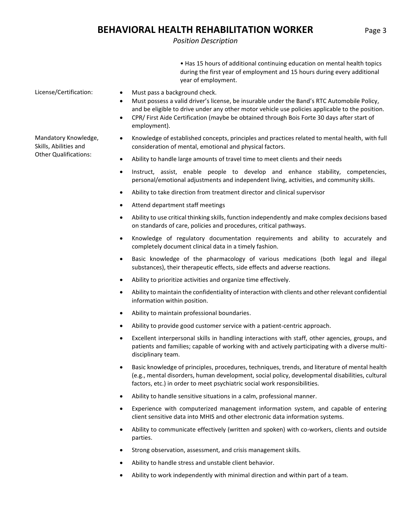## **BEHAVIORAL HEALTH REHABILITATION WORKER** Page 3

### *Position Description*

• Has 15 hours of additional continuing education on mental health topics during the first year of employment and 15 hours during every additional year of employment.

Mandatory Knowledge, Skills, Abilities and Other Qualifications:

- License/Certification: Must pass a background check.
	- Must possess a valid driver's license, be insurable under the Band's RTC Automobile Policy, and be eligible to drive under any other motor vehicle use policies applicable to the position.
	- CPR/ First Aide Certification (maybe be obtained through Bois Forte 30 days after start of employment).
	- Knowledge of established concepts, principles and practices related to mental health, with full consideration of mental, emotional and physical factors.
	- Ability to handle large amounts of travel time to meet clients and their needs
	- Instruct, assist, enable people to develop and enhance stability, competencies, personal/emotional adjustments and independent living, activities, and community skills.
	- Ability to take direction from treatment director and clinical supervisor
	- Attend department staff meetings
	- Ability to use critical thinking skills, function independently and make complex decisions based on standards of care, policies and procedures, critical pathways.
	- Knowledge of regulatory documentation requirements and ability to accurately and completely document clinical data in a timely fashion.
	- Basic knowledge of the pharmacology of various medications (both legal and illegal substances), their therapeutic effects, side effects and adverse reactions.
	- Ability to prioritize activities and organize time effectively.
	- Ability to maintain the confidentiality of interaction with clients and other relevant confidential information within position.
	- Ability to maintain professional boundaries.
	- Ability to provide good customer service with a patient-centric approach.
	- Excellent interpersonal skills in handling interactions with staff, other agencies, groups, and patients and families; capable of working with and actively participating with a diverse multidisciplinary team.
	- Basic knowledge of principles, procedures, techniques, trends, and literature of mental health (e.g., mental disorders, human development, social policy, developmental disabilities, cultural factors, etc.) in order to meet psychiatric social work responsibilities.
	- Ability to handle sensitive situations in a calm, professional manner.
	- Experience with computerized management information system, and capable of entering client sensitive data into MHIS and other electronic data information systems.
	- Ability to communicate effectively (written and spoken) with co-workers, clients and outside parties.
	- Strong observation, assessment, and crisis management skills.
	- Ability to handle stress and unstable client behavior.
	- Ability to work independently with minimal direction and within part of a team.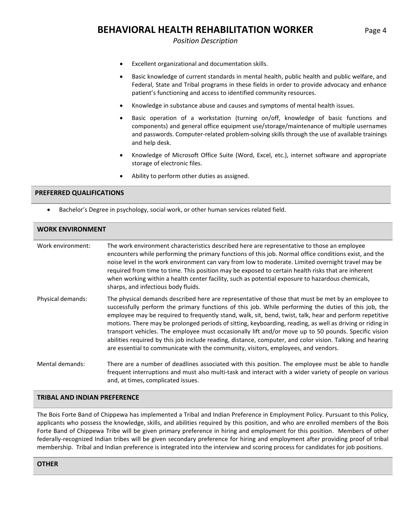## **BEHAVIORAL HEALTH REHABILITATION WORKER** Page 4

*Position Description*

- Excellent organizational and documentation skills.
- Basic knowledge of current standards in mental health, public health and public welfare, and Federal, State and Tribal programs in these fields in order to provide advocacy and enhance patient's functioning and access to identified community resources.
- Knowledge in substance abuse and causes and symptoms of mental health issues.
- Basic operation of a workstation (turning on/off, knowledge of basic functions and components) and general office equipment use/storage/maintenance of multiple usernames and passwords. Computer-related problem-solving skills through the use of available trainings and help desk.
- Knowledge of Microsoft Office Suite (Word, Excel, etc.), internet software and appropriate storage of electronic files.
- Ability to perform other duties as assigned.

#### **PREFERRED QUALIFICATIONS**

• Bachelor's Degree in psychology, social work, or other human services related field.

| <b>WORK ENVIRONMENT</b> |                                                                                                                                                                                                                                                                                                                                                                                                                                                                                                                                                                                                                                                                                                                                               |  |
|-------------------------|-----------------------------------------------------------------------------------------------------------------------------------------------------------------------------------------------------------------------------------------------------------------------------------------------------------------------------------------------------------------------------------------------------------------------------------------------------------------------------------------------------------------------------------------------------------------------------------------------------------------------------------------------------------------------------------------------------------------------------------------------|--|
| Work environment:       | The work environment characteristics described here are representative to those an employee<br>encounters while performing the primary functions of this job. Normal office conditions exist, and the<br>noise level in the work environment can vary from low to moderate. Limited overnight travel may be<br>required from time to time. This position may be exposed to certain health risks that are inherent<br>when working within a health center facility, such as potential exposure to hazardous chemicals,<br>sharps, and infectious body fluids.                                                                                                                                                                                  |  |
| Physical demands:       | The physical demands described here are representative of those that must be met by an employee to<br>successfully perform the primary functions of this job. While performing the duties of this job, the<br>employee may be required to frequently stand, walk, sit, bend, twist, talk, hear and perform repetitive<br>motions. There may be prolonged periods of sitting, keyboarding, reading, as well as driving or riding in<br>transport vehicles. The employee must occasionally lift and/or move up to 50 pounds. Specific vision<br>abilities required by this job include reading, distance, computer, and color vision. Talking and hearing<br>are essential to communicate with the community, visitors, employees, and vendors. |  |
| Mental demands:         | There are a number of deadlines associated with this position. The employee must be able to handle<br>frequent interruptions and must also multi-task and interact with a wider variety of people on various<br>and, at times, complicated issues.                                                                                                                                                                                                                                                                                                                                                                                                                                                                                            |  |

#### **TRIBAL AND INDIAN PREFERENCE**

The Bois Forte Band of Chippewa has implemented a Tribal and Indian Preference in Employment Policy. Pursuant to this Policy, applicants who possess the knowledge, skills, and abilities required by this position, and who are enrolled members of the Bois Forte Band of Chippewa Tribe will be given primary preference in hiring and employment for this position. Members of other federally-recognized Indian tribes will be given secondary preference for hiring and employment after providing proof of tribal membership. Tribal and Indian preference is integrated into the interview and scoring process for candidates for job positions.

#### **OTHER**